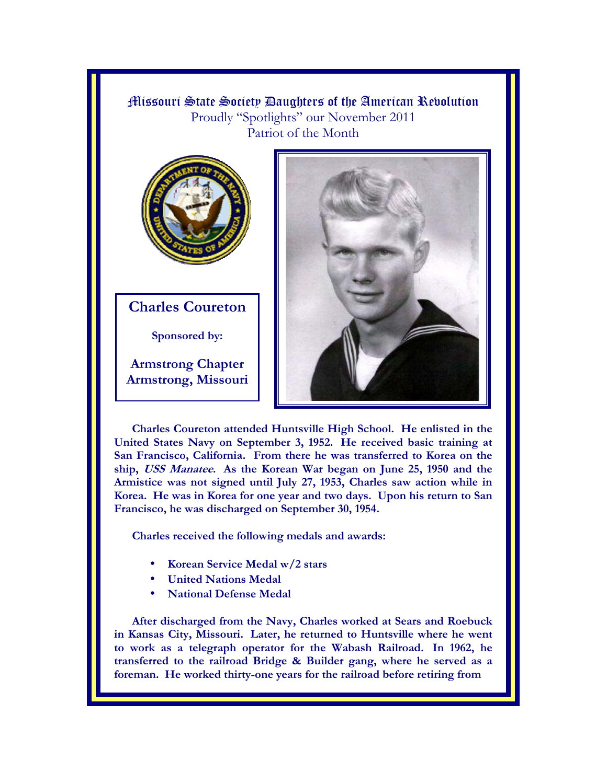Missouri State Society Daughters of the American Revolution Proudly "Spotlights" our November 2011 Patriot of the Month



**Charles Coureton** 

**Sponsored by:** 

**Armstrong Chapter Armstrong, Missouri** 



**Charles Coureton attended Huntsville High School. He enlisted in the United States Navy on September 3, 1952. He received basic training at San Francisco, California. From there he was transferred to Korea on the ship, USS Manatee. As the Korean War began on June 25, 1950 and the Armistice was not signed until July 27, 1953, Charles saw action while in Korea. He was in Korea for one year and two days. Upon his return to San Francisco, he was discharged on September 30, 1954.** 

**Charles received the following medals and awards:** 

- **Korean Service Medal w/2 stars**
- **United Nations Medal**
- **National Defense Medal**

**After discharged from the Navy, Charles worked at Sears and Roebuck in Kansas City, Missouri. Later, he returned to Huntsville where he went to work as a telegraph operator for the Wabash Railroad. In 1962, he transferred to the railroad Bridge & Builder gang, where he served as a foreman. He worked thirty-one years for the railroad before retiring from**